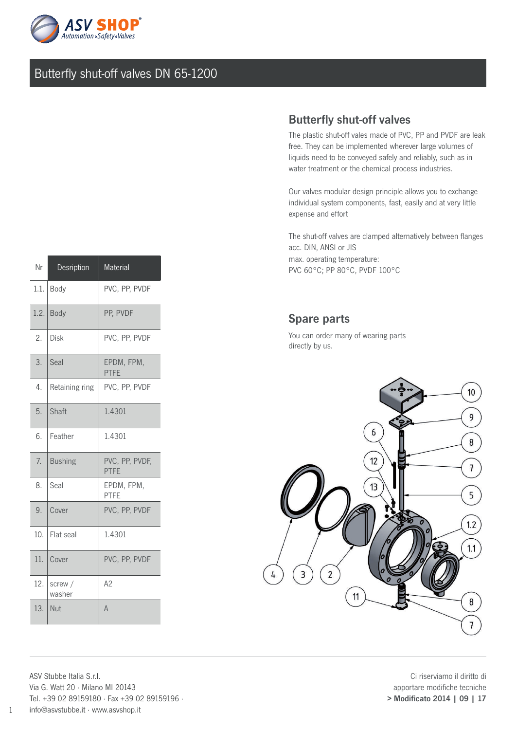

## Butterfly shut-off valves DN 65-1200

## Butterfly shut-off valves

The plastic shut-off vales made of PVC, PP and PVDF are leak free. They can be implemented wherever large volumes of liquids need to be conveyed safely and reliably, such as in water treatment or the chemical process industries.

Our valves modular design principle allows you to exchange individual system components, fast, easily and at very little expense and effort

The shut-off valves are clamped alternatively between flanges acc. DIN, ANSI or JIS max. operating temperature: PVC 60°C; PP 80°C, PVDF 100°C

## Spare parts

You can order many of wearing parts directly by us.



Ci riserviamo il diritto di apportare modifiche tecniche > Modificato 2014 | 09 | 17

| Nr   | Desription        | <b>Material</b>               |
|------|-------------------|-------------------------------|
| 1.1. | Body              | PVC, PP, PVDF                 |
| 1.2. | Body              | PP, PVDF                      |
| 2.   | Disk              | PVC, PP, PVDF                 |
| 3.   | Seal              | EPDM, FPM,<br><b>PTFE</b>     |
| 4.   | Retaining ring    | PVC, PP, PVDF                 |
| 5.   | Shaft             | 1.4301                        |
| 6.   | Feather           | 1.4301                        |
| 7.   | <b>Bushing</b>    | PVC, PP, PVDF,<br><b>PTFE</b> |
| 8.   | Seal              | EPDM, FPM,<br>PTFE            |
| 9.   | Cover             | PVC, PP, PVDF                 |
| 10.  | Flat seal         | 1.4301                        |
| 11.  | Cover             | PVC, PP, PVDF                 |
| 12.  | screw /<br>washer | A2                            |
| 13.  | Nut               | $\overline{A}$                |

ASV Stubbe Italia S.r.l. Via G. Watt 20 · Milano MI 20143 Tel. +39 02 89159180 · Fax +39 02 89159196 · info@asvstubbe.it · www.asvshop.it

1